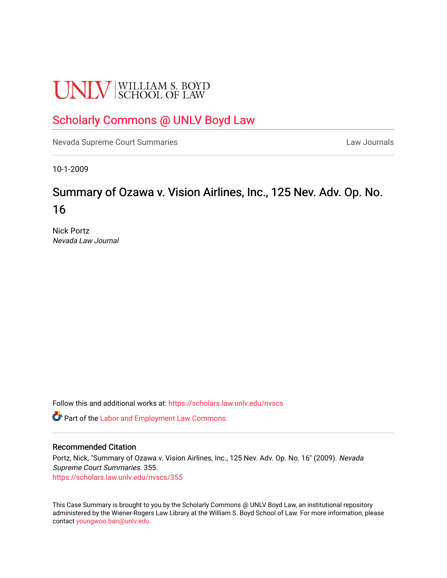# **UNLV** SCHOOL OF LAW

## [Scholarly Commons @ UNLV Boyd Law](https://scholars.law.unlv.edu/)

[Nevada Supreme Court Summaries](https://scholars.law.unlv.edu/nvscs) **Law Journals** Law Journals

10-1-2009

# Summary of Ozawa v. Vision Airlines, Inc., 125 Nev. Adv. Op. No. 16

Nick Portz Nevada Law Journal

Follow this and additional works at: [https://scholars.law.unlv.edu/nvscs](https://scholars.law.unlv.edu/nvscs?utm_source=scholars.law.unlv.edu%2Fnvscs%2F355&utm_medium=PDF&utm_campaign=PDFCoverPages)

**C** Part of the [Labor and Employment Law Commons](http://network.bepress.com/hgg/discipline/909?utm_source=scholars.law.unlv.edu%2Fnvscs%2F355&utm_medium=PDF&utm_campaign=PDFCoverPages)

#### Recommended Citation

Portz, Nick, "Summary of Ozawa v. Vision Airlines, Inc., 125 Nev. Adv. Op. No. 16" (2009). Nevada Supreme Court Summaries. 355. [https://scholars.law.unlv.edu/nvscs/355](https://scholars.law.unlv.edu/nvscs/355?utm_source=scholars.law.unlv.edu%2Fnvscs%2F355&utm_medium=PDF&utm_campaign=PDFCoverPages)

This Case Summary is brought to you by the Scholarly Commons @ UNLV Boyd Law, an institutional repository administered by the Wiener-Rogers Law Library at the William S. Boyd School of Law. For more information, please contact [youngwoo.ban@unlv.edu](mailto:youngwoo.ban@unlv.edu).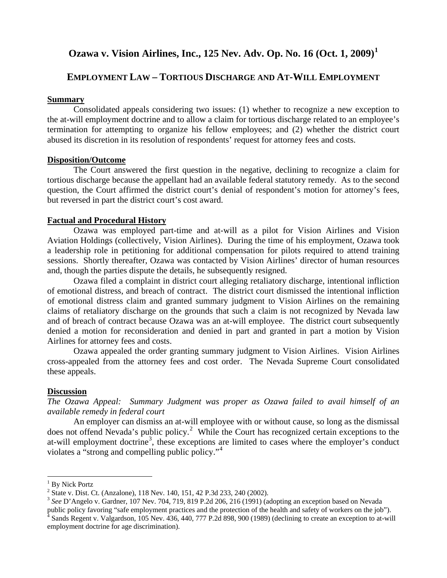## **Ozawa v. Vision Airlines, Inc., 125 Nev. Adv. Op. No. 16 (Oct. 1, 2009)[1](#page-1-0)**

### **EMPLOYMENT LAW – TORTIOUS DISCHARGE AND AT-WILL EMPLOYMENT**

#### **Summary**

Consolidated appeals considering two issues: (1) whether to recognize a new exception to the at-will employment doctrine and to allow a claim for tortious discharge related to an employee's termination for attempting to organize his fellow employees; and (2) whether the district court abused its discretion in its resolution of respondents' request for attorney fees and costs.

#### **Disposition/Outcome**

The Court answered the first question in the negative, declining to recognize a claim for tortious discharge because the appellant had an available federal statutory remedy. As to the second question, the Court affirmed the district court's denial of respondent's motion for attorney's fees, but reversed in part the district court's cost award.

#### **Factual and Procedural History**

Ozawa was employed part-time and at-will as a pilot for Vision Airlines and Vision Aviation Holdings (collectively, Vision Airlines). During the time of his employment, Ozawa took a leadership role in petitioning for additional compensation for pilots required to attend training sessions. Shortly thereafter, Ozawa was contacted by Vision Airlines' director of human resources and, though the parties dispute the details, he subsequently resigned.

Ozawa filed a complaint in district court alleging retaliatory discharge, intentional infliction of emotional distress, and breach of contract. The district court dismissed the intentional infliction of emotional distress claim and granted summary judgment to Vision Airlines on the remaining claims of retaliatory discharge on the grounds that such a claim is not recognized by Nevada law and of breach of contract because Ozawa was an at-will employee. The district court subsequently denied a motion for reconsideration and denied in part and granted in part a motion by Vision Airlines for attorney fees and costs.

Ozawa appealed the order granting summary judgment to Vision Airlines. Vision Airlines cross-appealed from the attorney fees and cost order. The Nevada Supreme Court consolidated these appeals.

#### **Discussion**

*The Ozawa Appeal: Summary Judgment was proper as Ozawa failed to avail himself of an available remedy in federal court*

An employer can dismiss an at-will employee with or without cause, so long as the dismissal does not offend Nevada's public policy.<sup>[2](#page-1-1)</sup> While the Court has recognized certain exceptions to the at-will employment doctrine<sup>[3](#page-1-2)</sup>, these exceptions are limited to cases where the employer's conduct violates a "strong and compelling public policy."[4](#page-1-3)

 $\overline{a}$ 

<span id="page-1-1"></span><span id="page-1-0"></span> $^{1}$  By Nick Portz<br> $^{2}$  State v. Dist. Ct. (Anzalone), 118 Nev. 140, 151, 42 P.3d 233, 240 (2002).

<span id="page-1-2"></span><sup>&</sup>lt;sup>3</sup> See D'Angelo v. Gardner, 107 Nev. 704, 719, 819 P.2d 206, 216 (1991) (adopting an exception based on Nevada public policy favoring "safe employment practices and the protection of the health and safety of workers on th

<span id="page-1-3"></span>Sands Regent v. Valgardson, 105 Nev. 436, 440, 777 P.2d 898, 900 (1989) (declining to create an exception to at-will employment doctrine for age discrimination).